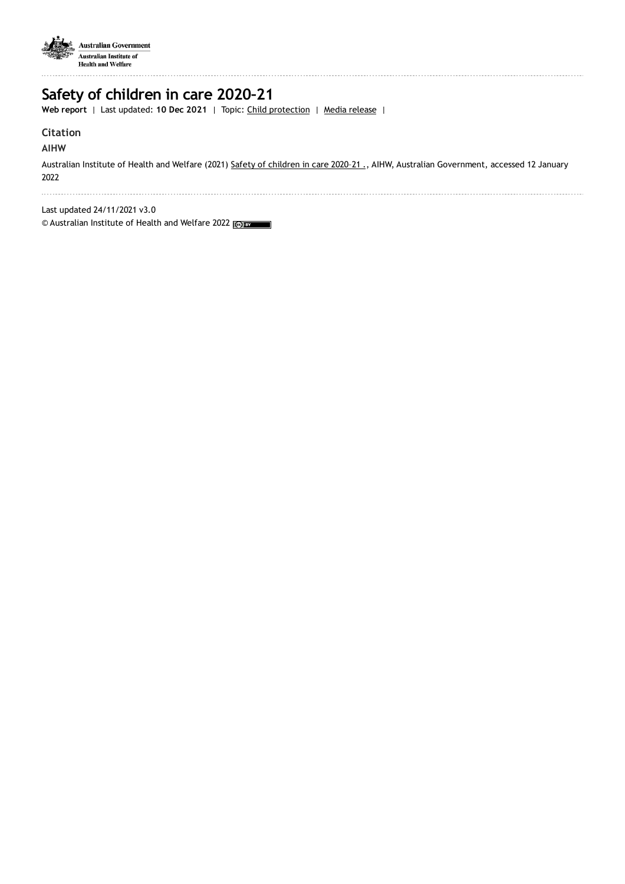

## **Safety of children in care 2020–21**

**Web report** | Last updated: **10 Dec 2021** | Topic: Child [protection](https://www.aihw.gov.au/reports-data/health-welfare-services/child-protection) | Media [release](https://www.aihw.gov.au/news-media/media-releases/2021-1/december/first-national-report-provides-insights-into-the-s) |

## **Citation**

## **AIHW**

Australian Institute of Health and Welfare (2021) Safety of [children](https://www.aihw.gov.au/reports/child-protection/safety-of-children-in-care-2020-21) in care 2020-21 ., AIHW, Australian Government, accessed 12 January 2022

Last updated 24/11/2021 v3.0

© Australian Institute of Health and Welfare 2022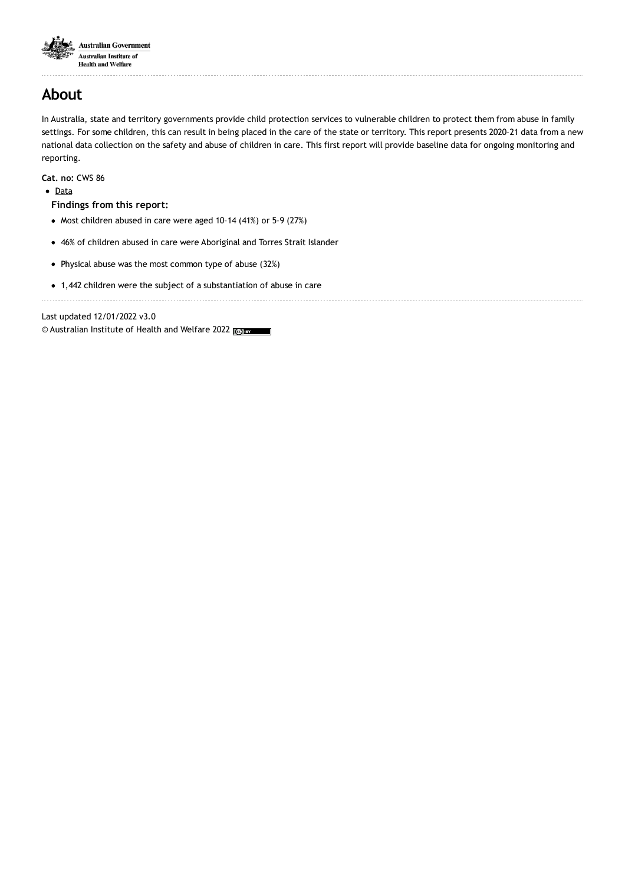

. . . . . . . . . . . . . . . . . . . .

## **About**

In Australia, state and territory governments provide child protection services to vulnerable children to protect them from abuse in family settings. For some children, this can result in being placed in the care of the state or territory. This report presents 2020–21 data from a new national data collection on the safety and abuse of children in care. This first report will provide baseline data for ongoing monitoring and reporting.

**Cat. no:** CWS 86

• [Data](https://www.aihw.gov.au/reports/child-protection/safety-of-children-in-care-2020-21/data)

#### **Findings from this report:**

- $\bullet$  Most children abused in care were aged 10-14 (41%) or 5-9 (27%)
- 46% of children abused in care were Aboriginal and Torres Strait Islander
- Physical abuse was the most common type of abuse (32%)
- 1,442 children were the subject of a substantiation of abuse in care

Last updated 12/01/2022 v3.0

© Australian Institute of Health and Welfare 2022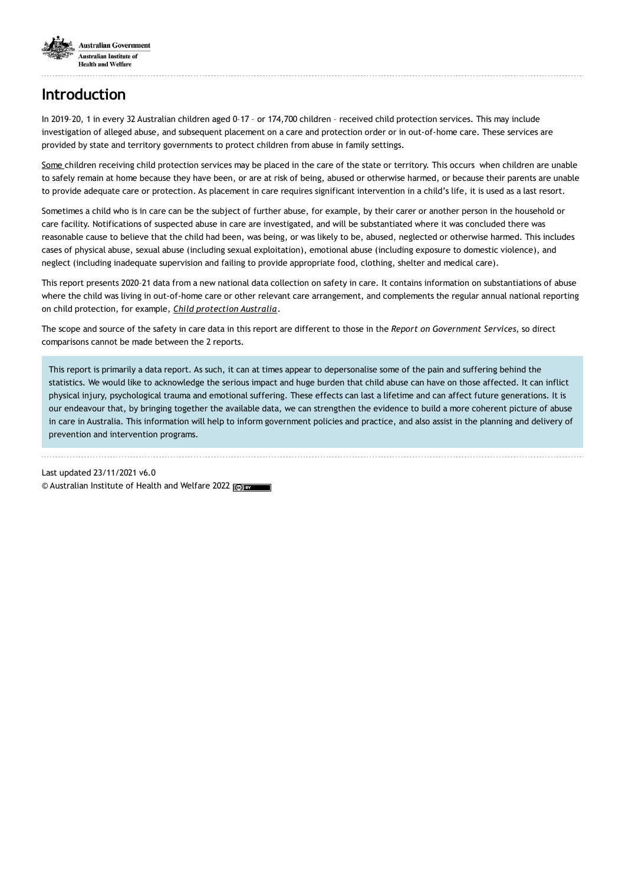

# **Introduction**

In 2019–20, 1 in every 32 Australian children aged 0–17 – or 174,700 children – received child protection services. This may include investigation of alleged abuse, and subsequent placement on a care and protection order or in out-of-home care. These services are provided by state and territory governments to protect children from abuse in family settings.

Some children receiving child protection services may be placed in the care of the state or territory. This occurs when children are unable to safely remain at home because they have been, or are at risk of being, abused or otherwise harmed, or because their parents are unable to provide adequate care or protection. As placement in care requires significant intervention in a child's life, it is used as a last resort.

Sometimes a child who is in care can be the subject of further abuse, for example, by their carer or another person in the household or care facility. Notifications of suspected abuse in care are investigated, and will be substantiated where it was concluded there was reasonable cause to believe that the child had been, was being, or was likely to be, abused, neglected or otherwise harmed. This includes cases of physical abuse, sexual abuse (including sexual exploitation), emotional abuse (including exposure to domestic violence), and neglect (including inadequate supervision and failing to provide appropriate food, clothing, shelter and medical care).

This report presents 2020–21 data from a new national data collection on safety in care. It contains information on substantiations of abuse where the child was living in out-of-home care or other relevant care arrangement, and complements the regular annual national reporting on child protection, for example, *Child [protection](https://www.aihw.gov.au/reports/child-protection/child-protection-australia-2019-20) Australia*.

The scope and source of the safety in care data in this report are different to those in the *Report on Government Services*, so direct comparisons cannot be made between the 2 reports.

This report is primarily a data report. As such, it can at times appear to depersonalise some of the pain and suffering behind the statistics. We would like to acknowledge the serious impact and huge burden that child abuse can have on those affected. It can inflict physical injury, psychological trauma and emotional suffering. These effects can last a lifetime and can affect future generations. It is our endeavour that, by bringing together the available data, we can strengthen the evidence to build a more coherent picture of abuse in care in Australia. This information will help to inform government policies and practice, and also assist in the planning and delivery of prevention and intervention programs.

Last updated 23/11/2021 v6.0 © Australian Institute of Health and Welfare 2022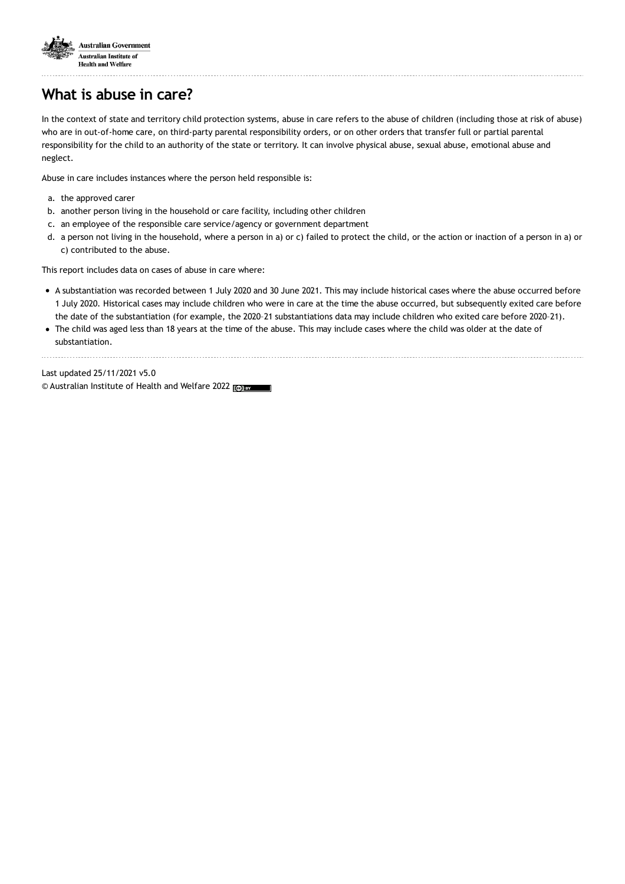

# **What is abuse in care?**

In the context of state and territory child protection systems, abuse in care refers to the abuse of children (including those at risk of abuse) who are in out-of-home care, on third-party parental responsibility orders, or on other orders that transfer full or partial parental responsibility for the child to an authority of the state or territory. It can involve physical abuse, sexual abuse, emotional abuse and neglect.

Abuse in care includes instances where the person held responsible is:

- a. the approved carer
- b. another person living in the household or care facility, including other children
- c. an employee of the responsible care service/agency or government department
- d. a person not living in the household, where a person in a) or c) failed to protect the child, or the action or inaction of a person in a) or c) contributed to the abuse.

This report includes data on cases of abuse in care where:

- A substantiation was recorded between 1 July 2020 and 30 June 2021. This may include historical cases where the abuse occurred before 1 July 2020. Historical cases may include children who were in care at the time the abuse occurred, but subsequently exited care before the date of the substantiation (for example, the 2020–21 substantiations data may include children who exited care before 2020–21).
- The child was aged less than 18 years at the time of the abuse. This may include cases where the child was older at the date of substantiation.

Last updated 25/11/2021 v5.0 © Australian Institute of Health and Welfare 2022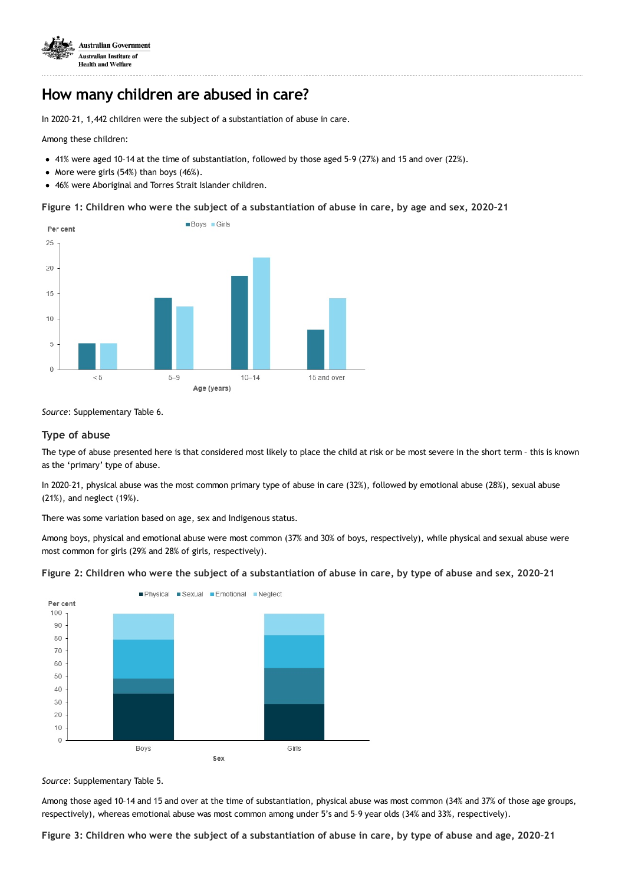

## **How many children are abused in care?**

In 2020–21, 1,442 children were the subject of a substantiation of abuse in care.

Among these children:

- 41% were aged 10–14 at the time of substantiation, followed by those aged 5–9 (27%) and 15 and over (22%).
- More were girls  $(54%)$  than boys  $(46%)$ .
- 46% were Aboriginal and Torres Strait Islander children.

Figure 1: Children who were the subject of a substantiation of abuse in care, by age and sex, 2020-21



*Source*: Supplementary Table 6.

### **Type of abuse**

The type of abuse presented here is that considered most likely to place the child at risk or be most severe in the short term – this is known as the 'primary' type of abuse.

In 2020–21, physical abuse was the most common primary type of abuse in care (32%), followed by emotional abuse (28%), sexual abuse (21%), and neglect (19%).

There was some variation based on age, sex and Indigenous status.

Among boys, physical and emotional abuse were most common (37% and 30% of boys, respectively), while physical and sexual abuse were most common for girls (29% and 28% of girls, respectively).

#### Figure 2: Children who were the subject of a substantiation of abuse in care, by type of abuse and sex, 2020-21



*Source*: Supplementary Table 5.

Among those aged 10–14 and 15 and over at the time of substantiation, physical abuse was most common (34% and 37% of those age groups, respectively), whereas emotional abuse was most common among under 5's and 5–9 year olds (34% and 33%, respectively).

Figure 3: Children who were the subject of a substantiation of abuse in care, by type of abuse and age, 2020-21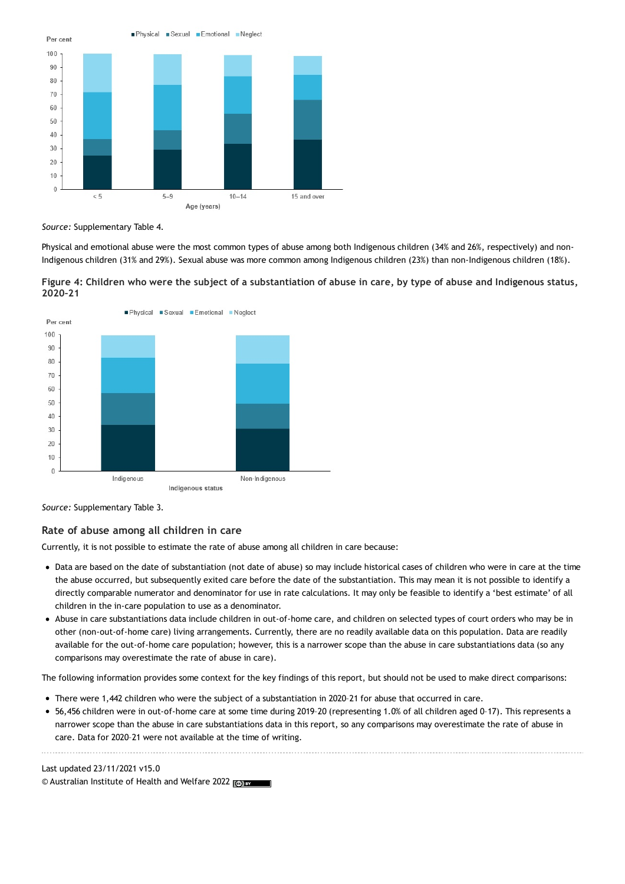

*Source:* Supplementary Table 4.

Physical and emotional abuse were the most common types of abuse among both Indigenous children (34% and 26%, respectively) and non-Indigenous children (31% and 29%). Sexual abuse was more common among Indigenous children (23%) than non-Indigenous children (18%).





*Source:* Supplementary Table 3.

### **Rate of abuse among all children in care**

Currently, it is not possible to estimate the rate of abuse among all children in care because:

- Data are based on the date of substantiation (not date of abuse) so may include historical cases of children who were in care at the time the abuse occurred, but subsequently exited care before the date of the substantiation. This may mean it is not possible to identify a directly comparable numerator and denominator for use in rate calculations. It may only be feasible to identify a 'best estimate' of all children in the in-care population to use as a denominator.
- Abuse in care substantiations data include children in out-of-home care, and children on selected types of court orders who may be in other (non-out-of-home care) living arrangements. Currently, there are no readily available data on this population. Data are readily available for the out-of-home care population; however, this is a narrower scope than the abuse in care substantiations data (so any comparisons may overestimate the rate of abuse in care).

The following information provides some context for the key findings of this report, but should not be used to make direct comparisons:

- There were 1,442 children who were the subject of a substantiation in 2020–21 for abuse that occurred in care.
- 56,456 children were in out-of-home care at some time during 2019–20 (representing 1.0% of all children aged 0–17). This represents a narrower scope than the abuse in care substantiations data in this report, so any comparisons may overestimate the rate of abuse in care. Data for 2020–21 were not available at the time of writing.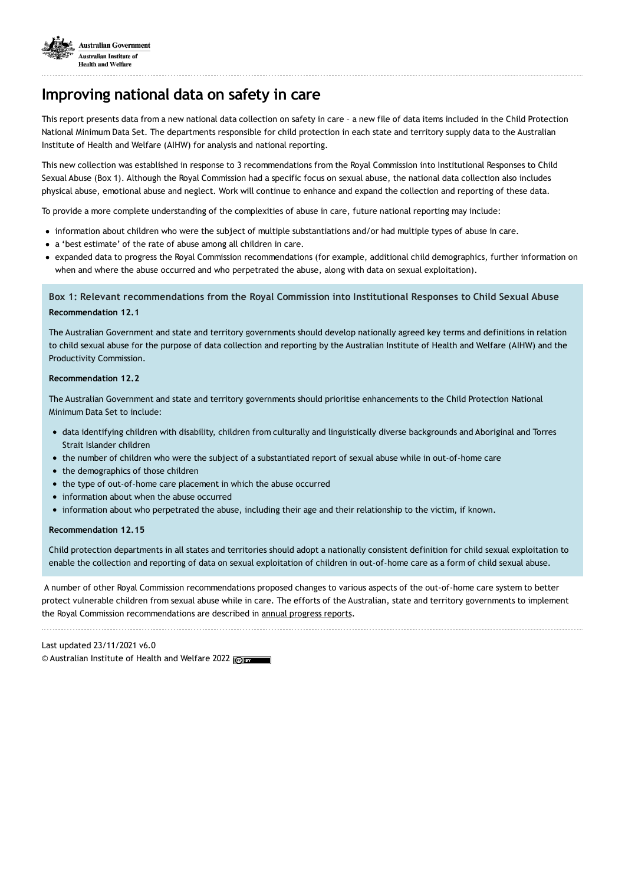

## **Improving national data on safety in care**

This report presents data from a new national data collection on safety in care – a new file of data items included in the Child Protection National Minimum Data Set. The departments responsible for child protection in each state and territory supply data to the Australian Institute of Health and Welfare (AIHW) for analysis and national reporting.

This new collection was established in response to 3 recommendations from the Royal Commission into Institutional Responses to Child Sexual Abuse (Box 1). Although the Royal Commission had a specific focus on sexual abuse, the national data collection also includes physical abuse, emotional abuse and neglect. Work will continue to enhance and expand the collection and reporting of these data.

To provide a more complete understanding of the complexities of abuse in care, future national reporting may include:

- information about children who were the subject of multiple substantiations and/or had multiple types of abuse in care.
- a 'best estimate' of the rate of abuse among all children in care.
- expanded data to progress the Royal Commission recommendations (for example, additional child demographics, further information on when and where the abuse occurred and who perpetrated the abuse, along with data on sexual exploitation).

### **Box 1: Relevant recommendations from the Royal Commission into Institutional Responses to Child Sexual Abuse Recommendation 12.1**

The Australian Government and state and territory governments should develop nationally agreed key terms and definitions in relation to child sexual abuse for the purpose of data collection and reporting by the Australian Institute of Health and Welfare (AIHW) and the Productivity Commission.

#### **Recommendation 12.2**

The Australian Government and state and territory governments should prioritise enhancements to the Child Protection National Minimum Data Set to include:

- data identifying children with disability, children from culturally and linguistically diverse backgrounds and Aboriginal and Torres Strait Islander children
- the number of children who were the subject of a substantiated report of sexual abuse while in out-of-home care
- the demographics of those children
- the type of out-of-home care placement in which the abuse occurred
- information about when the abuse occurred
- information about who perpetrated the abuse, including their age and their relationship to the victim, if known.

#### **Recommendation 12.15**

Child protection departments in all states and territories should adopt a nationally consistent definition for child sexual exploitation to enable the collection and reporting of data on sexual exploitation of children in out-of-home care as a form of child sexual abuse.

A number of other Royal Commission recommendations proposed changes to various aspects of the out-of-home care system to better protect vulnerable children from sexual abuse while in care. The efforts of the Australian, state and territory governments to implement the Royal Commission recommendations are described in annual [progress](https://www.childabuseroyalcommissionresponse.gov.au/annual-progress-reporting) reports.

Last updated 23/11/2021 v6.0 © Australian Institute of Health and Welfare 2022 @E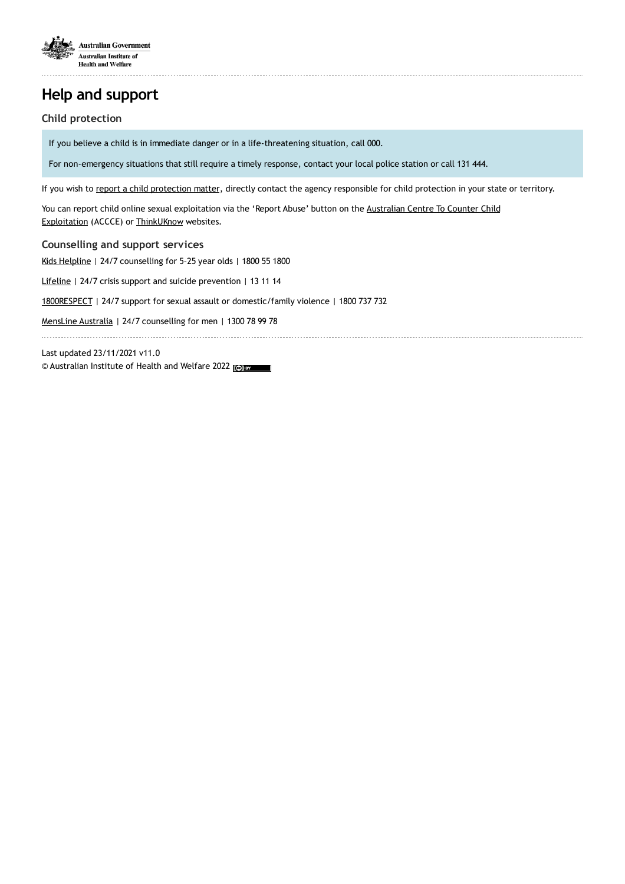

# **Help and support**

### **Child protection**

If you believe a child is in immediate danger or in a life-threatening situation, call 000.

For non-emergency situations that still require a timely response, contact your local police station or call 131 444.

If you wish to report a child [protection](https://www.aihw.gov.au/reports-data/health-welfare-services/child-protection/links-other-information) matter, directly contact the agency responsible for child protection in your state or territory.

You can report child online sexual exploitation via the 'Report Abuse' button on the Australian Centre To Counter Child Exploitation (ACCCE) or [ThinkUKnow](https://www.accce.gov.au/report) websites.

### **Counselling and support services**

Kids [Helpline](http://www.kidshelpline.com.au) | 24/7 counselling for 5–25 year olds | 1800 55 1800

[Lifeline](http://www.lifeline.org.au) | 24/7 crisis support and suicide prevention | 13 11 14

[1800RESPECT](http://www.1800respect.org.au) | 24/7 support for sexual assault or domestic/family violence | 1800 737 732

[MensLine](https://mensline.org.au/) Australia | 24/7 counselling for men | 1300 78 99 78

Last updated 23/11/2021 v11.0 © Australian Institute of Health and Welfare 2022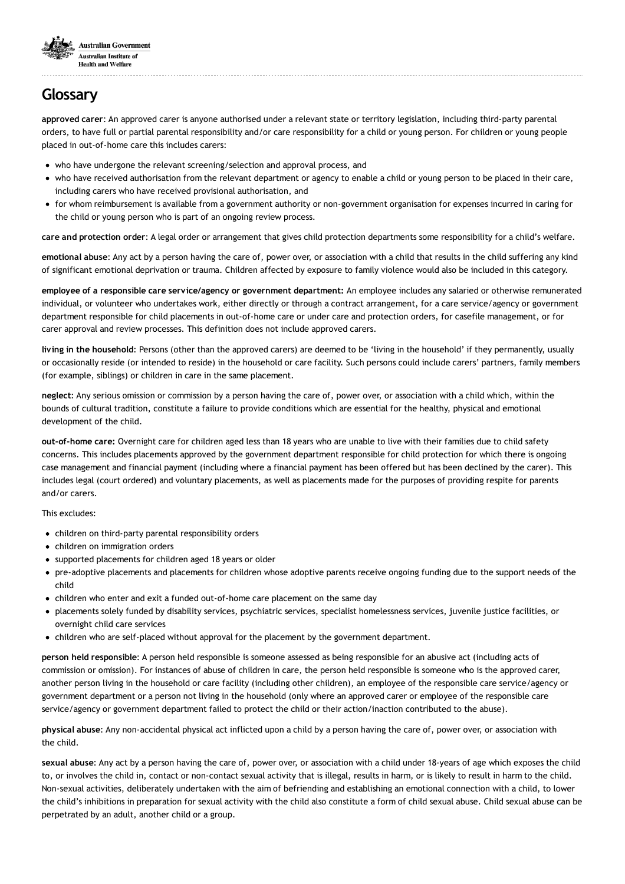

# **Glossary**

**approved carer**: An approved carer is anyone authorised under a relevant state or territory legislation, including third-party parental orders, to have full or partial parental responsibility and/or care responsibility for a child or young person. For children or young people placed in out-of-home care this includes carers:

- who have undergone the relevant screening/selection and approval process, and
- who have received authorisation from the relevant department or agency to enable a child or young person to be placed in their care, including carers who have received provisional authorisation, and
- for whom reimbursement is available from a government authority or non-government organisation for expenses incurred in caring for the child or young person who is part of an ongoing review process.

**care and protection order**: A legal order or arrangement that gives child protection departments some responsibility for a child's welfare.

**emotional abuse**: Any act by a person having the care of, power over, or association with a child that results in the child suffering any kind of significant emotional deprivation or trauma. Children affected by exposure to family violence would also be included in this category.

**employee of a responsible care service/agency or government department:** An employee includes any salaried or otherwise remunerated individual, or volunteer who undertakes work, either directly or through a contract arrangement, for a care service/agency or government department responsible for child placements in out-of-home care or under care and protection orders, for casefile management, or for carer approval and review processes. This definition does not include approved carers.

**living in the household**: Persons (other than the approved carers) are deemed to be 'living in the household' if they permanently, usually or occasionally reside (or intended to reside) in the household or care facility. Such persons could include carers' partners, family members (for example, siblings) or children in care in the same placement.

**neglect**: Any serious omission or commission by a person having the care of, power over, or association with a child which, within the bounds of cultural tradition, constitute a failure to provide conditions which are essential for the healthy, physical and emotional development of the child.

**out-of-home care:** Overnight care for children aged less than 18 years who are unable to live with their families due to child safety concerns. This includes placements approved by the government department responsible for child protection for which there is ongoing case management and financial payment (including where a financial payment has been offered but has been declined by the carer). This includes legal (court ordered) and voluntary placements, as well as placements made for the purposes of providing respite for parents and/or carers.

This excludes:

- children on third-party parental responsibility orders
- children on immigration orders
- supported placements for children aged 18 years or older
- pre-adoptive placements and placements for children whose adoptive parents receive ongoing funding due to the support needs of the child
- children who enter and exit a funded out-of-home care placement on the same day
- placements solely funded by disability services, psychiatric services, specialist homelessness services, juvenile justice facilities, or overnight child care services
- children who are self-placed without approval for the placement by the government department.

**person held responsible**: A person held responsible is someone assessed as being responsible for an abusive act (including acts of commission or omission). For instances of abuse of children in care, the person held responsible is someone who is the approved carer, another person living in the household or care facility (including other children), an employee of the responsible care service/agency or government department or a person not living in the household (only where an approved carer or employee of the responsible care service/agency or government department failed to protect the child or their action/inaction contributed to the abuse).

**physical abuse**: Any non-accidental physical act inflicted upon a child by a person having the care of, power over, or association with the child.

**sexual abuse**: Any act by a person having the care of, power over, or association with a child under 18-years of age which exposes the child to, or involves the child in, contact or non-contact sexual activity that is illegal, results in harm, or is likely to result in harm to the child. Non-sexual activities, deliberately undertaken with the aim of befriending and establishing an emotional connection with a child, to lower the child's inhibitions in preparation for sexual activity with the child also constitute a form of child sexual abuse. Child sexual abuse can be perpetrated by an adult, another child or a group.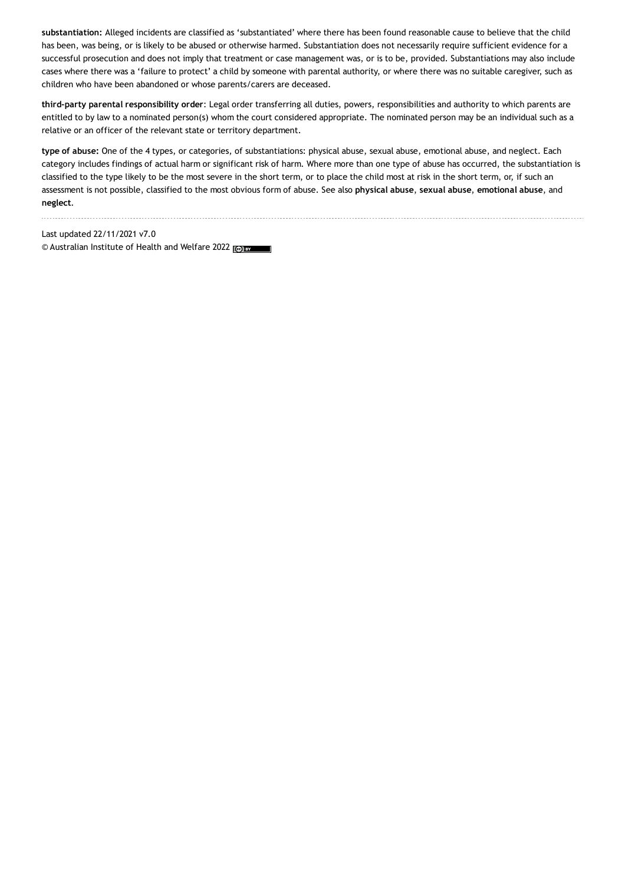**substantiation:** Alleged incidents are classified as 'substantiated' where there has been found reasonable cause to believe that the child has been, was being, or is likely to be abused or otherwise harmed. Substantiation does not necessarily require sufficient evidence for a successful prosecution and does not imply that treatment or case management was, or is to be, provided. Substantiations may also include cases where there was a 'failure to protect' a child by someone with parental authority, or where there was no suitable caregiver, such as children who have been abandoned or whose parents/carers are deceased.

**third-party parental responsibility order**: Legal order transferring all duties, powers, responsibilities and authority to which parents are entitled to by law to a nominated person(s) whom the court considered appropriate. The nominated person may be an individual such as a relative or an officer of the relevant state or territory department.

**type of abuse:** One of the 4 types, or categories, of substantiations: physical abuse, sexual abuse, emotional abuse, and neglect. Each category includes findings of actual harm or significant risk of harm. Where more than one type of abuse has occurred, the substantiation is classified to the type likely to be the most severe in the short term, or to place the child most at risk in the short term, or, if such an assessment is not possible, classified to the most obvious form of abuse. See also **physical abuse**, **sexual abuse**, **emotional abuse**, and **neglect**.

Last updated 22/11/2021 v7.0 © Australian Institute of Health and Welfare 2022 (@) BY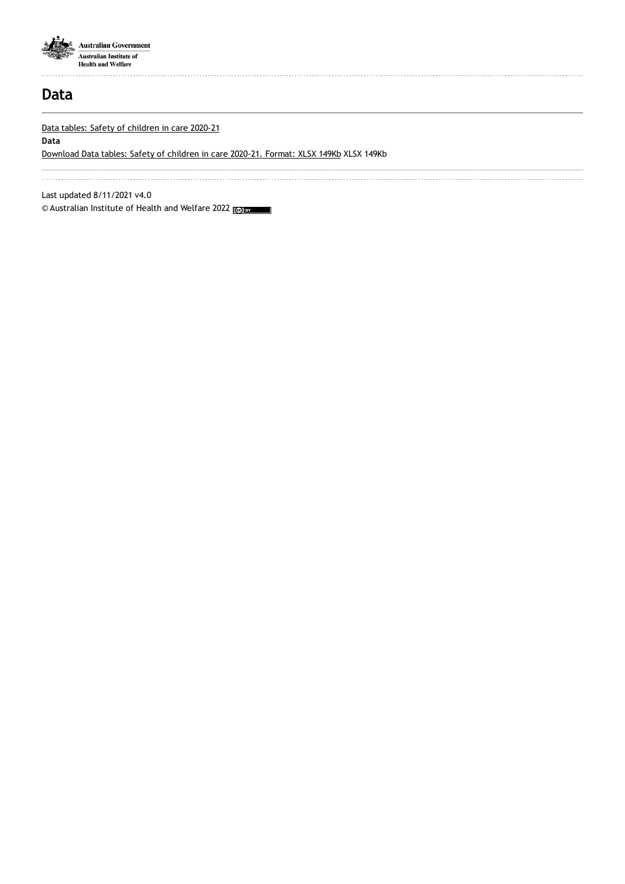

## **Data**

Data tables: Safety of [children](https://www.aihw.gov.au/getmedia/2e36855c-0f83-4d56-9077-eef05e75fdeb/aihw-cws-86-data-tables.xlsx.aspx) in care 2020-21

**Data**

[Download](https://www.aihw.gov.au/getmedia/2e36855c-0f83-4d56-9077-eef05e75fdeb/aihw-cws-86-data-tables.xlsx.aspx) Data tables: Safety of children in care 2020-21. Format: XLSX 149Kb XLSX 149Kb

Last updated 8/11/2021 v4.0

© Australian Institute of Health and Welfare 2022 (@) BY